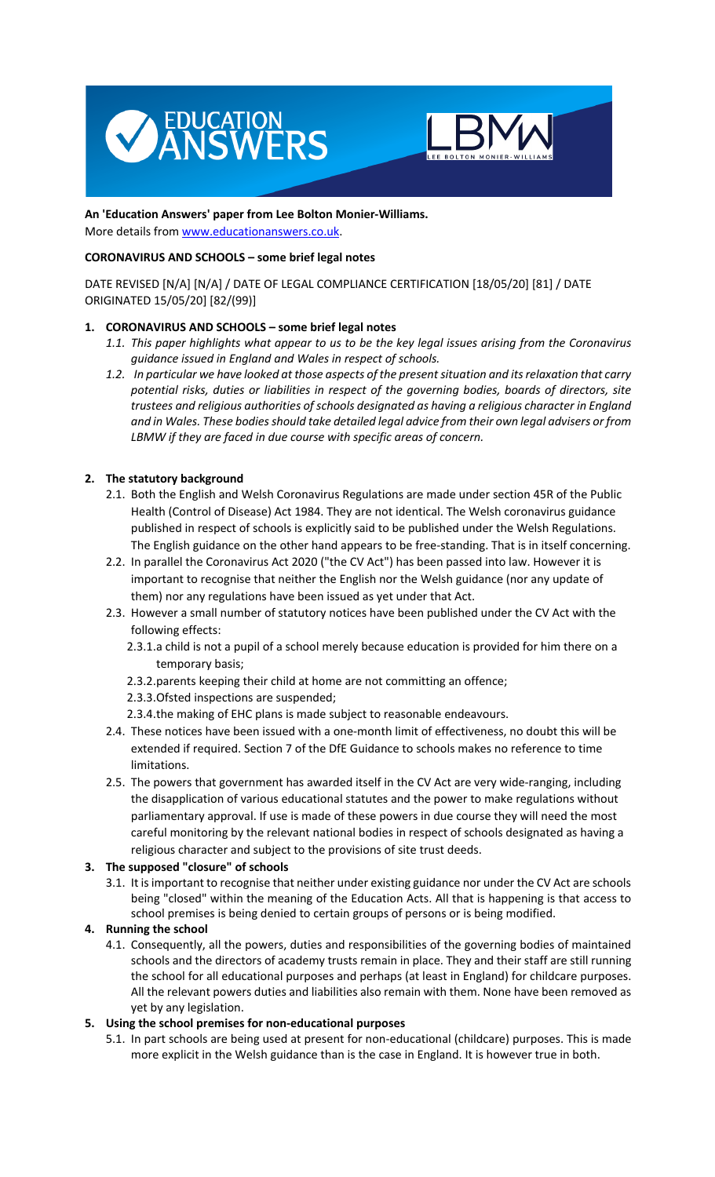



### **An 'Education Answers' paper from Lee Bolton Monier-Williams.**  More details from www.educationanswers.co.uk.

# **CORONAVIRUS AND SCHOOLS – some brief legal notes**

DATE REVISED [N/A] [N/A] / DATE OF LEGAL COMPLIANCE CERTIFICATION [18/05/20] [81] / DATE ORIGINATED 15/05/20] [82/(99)]

## **1. CORONAVIRUS AND SCHOOLS – some brief legal notes**

- *1.1. This paper highlights what appear to us to be the key legal issues arising from the Coronavirus guidance issued in England and Wales in respect of schools.*
- *1.2. In particular we have looked at those aspects of the present situation and its relaxation that carry potential risks, duties or liabilities in respect of the governing bodies, boards of directors, site trustees and religious authorities of schools designated as having a religious character in England and in Wales. These bodies should take detailed legal advice from their own legal advisers or from LBMW if they are faced in due course with specific areas of concern.*

## **2. The statutory background**

- 2.1. Both the English and Welsh Coronavirus Regulations are made under section 45R of the Public Health (Control of Disease) Act 1984. They are not identical. The Welsh coronavirus guidance published in respect of schools is explicitly said to be published under the Welsh Regulations. The English guidance on the other hand appears to be free-standing. That is in itself concerning.
- 2.2. In parallel the Coronavirus Act 2020 ("the CV Act") has been passed into law. However it is important to recognise that neither the English nor the Welsh guidance (nor any update of them) nor any regulations have been issued as yet under that Act.
- 2.3. However a small number of statutory notices have been published under the CV Act with the following effects:
	- 2.3.1.a child is not a pupil of a school merely because education is provided for him there on a temporary basis;
	- 2.3.2.parents keeping their child at home are not committing an offence;
	- 2.3.3.Ofsted inspections are suspended;
	- 2.3.4.the making of EHC plans is made subject to reasonable endeavours.
- 2.4. These notices have been issued with a one-month limit of effectiveness, no doubt this will be extended if required. Section 7 of the DfE Guidance to schools makes no reference to time limitations.
- 2.5. The powers that government has awarded itself in the CV Act are very wide-ranging, including the disapplication of various educational statutes and the power to make regulations without parliamentary approval. If use is made of these powers in due course they will need the most careful monitoring by the relevant national bodies in respect of schools designated as having a religious character and subject to the provisions of site trust deeds.

# **3. The supposed "closure" of schools**

3.1. It is important to recognise that neither under existing guidance nor under the CV Act are schools being "closed" within the meaning of the Education Acts. All that is happening is that access to school premises is being denied to certain groups of persons or is being modified.

### **4. Running the school**

4.1. Consequently, all the powers, duties and responsibilities of the governing bodies of maintained schools and the directors of academy trusts remain in place. They and their staff are still running the school for all educational purposes and perhaps (at least in England) for childcare purposes. All the relevant powers duties and liabilities also remain with them. None have been removed as yet by any legislation.

### **5. Using the school premises for non-educational purposes**

5.1. In part schools are being used at present for non-educational (childcare) purposes. This is made more explicit in the Welsh guidance than is the case in England. It is however true in both.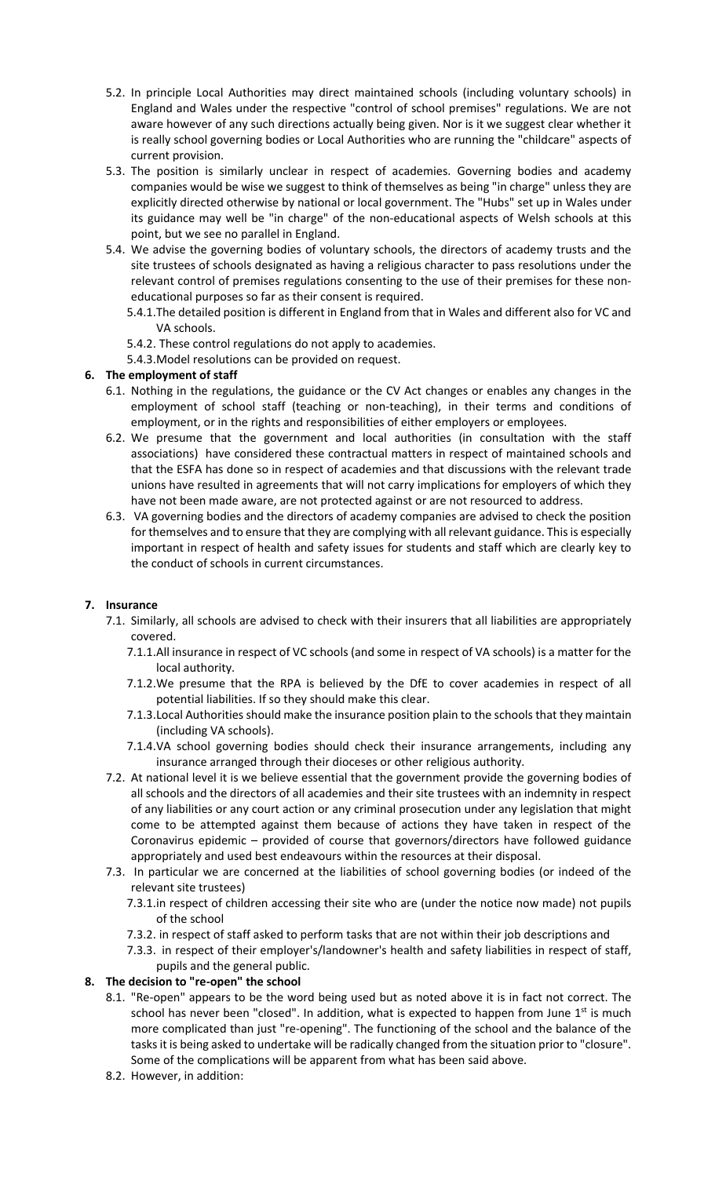- 5.2. In principle Local Authorities may direct maintained schools (including voluntary schools) in England and Wales under the respective "control of school premises" regulations. We are not aware however of any such directions actually being given. Nor is it we suggest clear whether it is really school governing bodies or Local Authorities who are running the "childcare" aspects of current provision.
- 5.3. The position is similarly unclear in respect of academies. Governing bodies and academy companies would be wise we suggest to think of themselves as being "in charge" unless they are explicitly directed otherwise by national or local government. The "Hubs" set up in Wales under its guidance may well be "in charge" of the non-educational aspects of Welsh schools at this point, but we see no parallel in England.
- 5.4. We advise the governing bodies of voluntary schools, the directors of academy trusts and the site trustees of schools designated as having a religious character to pass resolutions under the relevant control of premises regulations consenting to the use of their premises for these noneducational purposes so far as their consent is required.
	- 5.4.1.The detailed position is different in England from that in Wales and different also for VC and VA schools.
	- 5.4.2. These control regulations do not apply to academies.
	- 5.4.3.Model resolutions can be provided on request.

## **6. The employment of staff**

- 6.1. Nothing in the regulations, the guidance or the CV Act changes or enables any changes in the employment of school staff (teaching or non-teaching), in their terms and conditions of employment, or in the rights and responsibilities of either employers or employees.
- 6.2. We presume that the government and local authorities (in consultation with the staff associations) have considered these contractual matters in respect of maintained schools and that the ESFA has done so in respect of academies and that discussions with the relevant trade unions have resulted in agreements that will not carry implications for employers of which they have not been made aware, are not protected against or are not resourced to address.
- 6.3. VA governing bodies and the directors of academy companies are advised to check the position for themselves and to ensure that they are complying with all relevant guidance. This is especially important in respect of health and safety issues for students and staff which are clearly key to the conduct of schools in current circumstances.

# **7. Insurance**

- 7.1. Similarly, all schools are advised to check with their insurers that all liabilities are appropriately covered.
	- 7.1.1.All insurance in respect of VC schools (and some in respect of VA schools) is a matter for the local authority.
	- 7.1.2.We presume that the RPA is believed by the DfE to cover academies in respect of all potential liabilities. If so they should make this clear.
	- 7.1.3.Local Authorities should make the insurance position plain to the schools that they maintain (including VA schools).
	- 7.1.4.VA school governing bodies should check their insurance arrangements, including any insurance arranged through their dioceses or other religious authority.
- 7.2. At national level it is we believe essential that the government provide the governing bodies of all schools and the directors of all academies and their site trustees with an indemnity in respect of any liabilities or any court action or any criminal prosecution under any legislation that might come to be attempted against them because of actions they have taken in respect of the Coronavirus epidemic – provided of course that governors/directors have followed guidance appropriately and used best endeavours within the resources at their disposal.
- 7.3. In particular we are concerned at the liabilities of school governing bodies (or indeed of the relevant site trustees)
	- 7.3.1.in respect of children accessing their site who are (under the notice now made) not pupils of the school
	- 7.3.2. in respect of staff asked to perform tasks that are not within their job descriptions and
	- 7.3.3. in respect of their employer's/landowner's health and safety liabilities in respect of staff, pupils and the general public.

### **8. The decision to "re-open" the school**

- 8.1. "Re-open" appears to be the word being used but as noted above it is in fact not correct. The school has never been "closed". In addition, what is expected to happen from June  $1<sup>st</sup>$  is much more complicated than just "re-opening". The functioning of the school and the balance of the tasks it is being asked to undertake will be radically changed from the situation prior to "closure". Some of the complications will be apparent from what has been said above.
- 8.2. However, in addition: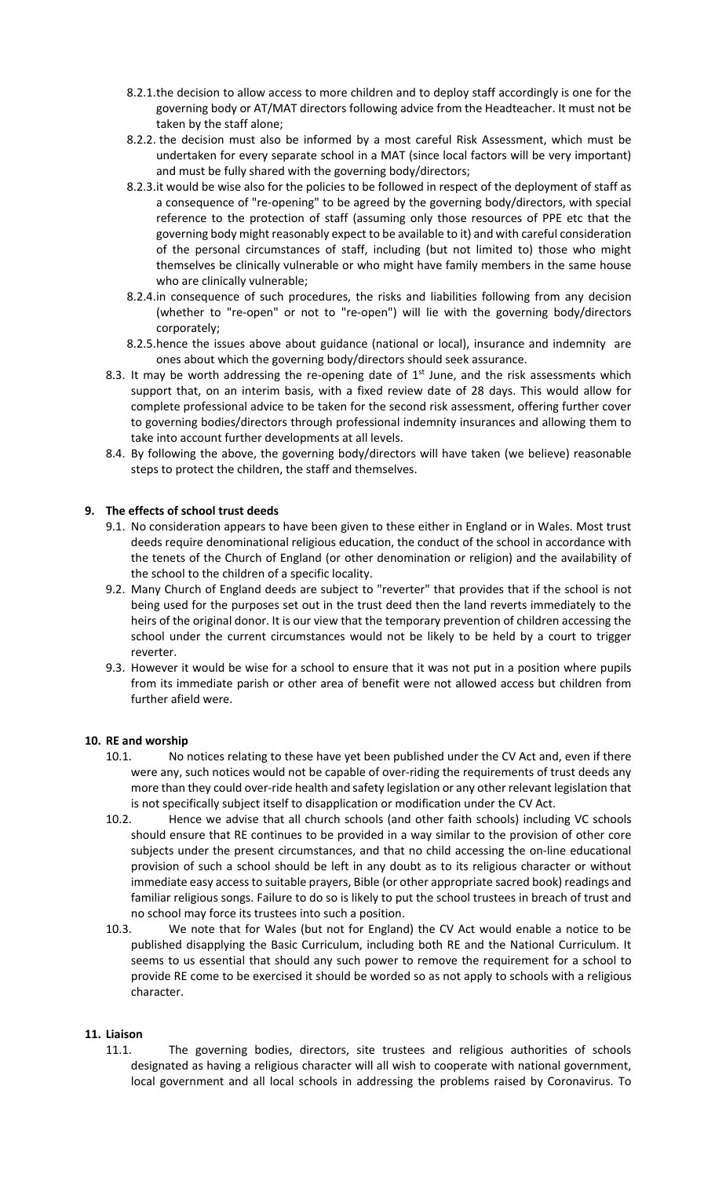- 8.2.1.the decision to allow access to more children and to deploy staff accordingly is one for the governing body or AT/MAT directors following advice from the Headteacher. It must not be taken by the staff alone;
- 8.2.2. the decision must also be informed by a most careful Risk Assessment, which must be undertaken for every separate school in a MAT (since local factors will be very important) and must be fully shared with the governing body/directors;
- 8.2.3.it would be wise also for the policies to be followed in respect of the deployment of staff as a consequence of "re-opening" to be agreed by the governing body/directors, with special reference to the protection of staff (assuming only those resources of PPE etc that the governing body might reasonably expect to be available to it) and with careful consideration of the personal circumstances of staff, including (but not limited to) those who might themselves be clinically vulnerable or who might have family members in the same house who are clinically vulnerable;
- 8.2.4.in consequence of such procedures, the risks and liabilities following from any decision (whether to "re-open" or not to "re-open") will lie with the governing body/directors corporately;
- 8.2.5.hence the issues above about guidance (national or local), insurance and indemnity are ones about which the governing body/directors should seek assurance.
- 8.3. It may be worth addressing the re-opening date of  $1<sup>st</sup>$  June, and the risk assessments which support that, on an interim basis, with a fixed review date of 28 days. This would allow for complete professional advice to be taken for the second risk assessment, offering further cover to governing bodies/directors through professional indemnity insurances and allowing them to take into account further developments at all levels.
- 8.4. By following the above, the governing body/directors will have taken (we believe) reasonable steps to protect the children, the staff and themselves.

## **9. The effects of school trust deeds**

- 9.1. No consideration appears to have been given to these either in England or in Wales. Most trust deeds require denominational religious education, the conduct of the school in accordance with the tenets of the Church of England (or other denomination or religion) and the availability of the school to the children of a specific locality.
- 9.2. Many Church of England deeds are subject to "reverter" that provides that if the school is not being used for the purposes set out in the trust deed then the land reverts immediately to the heirs of the original donor. It is our view that the temporary prevention of children accessing the school under the current circumstances would not be likely to be held by a court to trigger reverter.
- 9.3. However it would be wise for a school to ensure that it was not put in a position where pupils from its immediate parish or other area of benefit were not allowed access but children from further afield were.

### **10. RE and worship**

- 10.1. No notices relating to these have yet been published under the CV Act and, even if there were any, such notices would not be capable of over-riding the requirements of trust deeds any more than they could over-ride health and safety legislation or any other relevant legislation that is not specifically subject itself to disapplication or modification under the CV Act.
- 10.2. Hence we advise that all church schools (and other faith schools) including VC schools should ensure that RE continues to be provided in a way similar to the provision of other core subjects under the present circumstances, and that no child accessing the on-line educational provision of such a school should be left in any doubt as to its religious character or without immediate easy access to suitable prayers, Bible (or other appropriate sacred book) readings and familiar religious songs. Failure to do so is likely to put the school trustees in breach of trust and no school may force its trustees into such a position.
- 10.3. We note that for Wales (but not for England) the CV Act would enable a notice to be published disapplying the Basic Curriculum, including both RE and the National Curriculum. It seems to us essential that should any such power to remove the requirement for a school to provide RE come to be exercised it should be worded so as not apply to schools with a religious character.

### **11. Liaison**

11.1. The governing bodies, directors, site trustees and religious authorities of schools designated as having a religious character will all wish to cooperate with national government, local government and all local schools in addressing the problems raised by Coronavirus. To